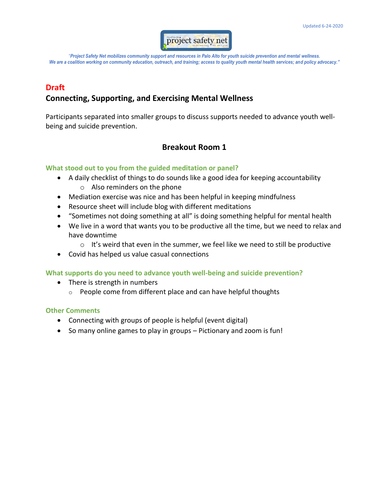

## **Draft**

## **Connecting, Supporting, and Exercising Mental Wellness**

Participants separated into smaller groups to discuss supports needed to advance youth wellbeing and suicide prevention.

## **Breakout Room 1**

## **What stood out to you from the guided meditation or panel?**

- A daily checklist of things to do sounds like a good idea for keeping accountability o Also reminders on the phone
- Mediation exercise was nice and has been helpful in keeping mindfulness
- Resource sheet will include blog with different meditations
- "Sometimes not doing something at all" is doing something helpful for mental health
- We live in a word that wants you to be productive all the time, but we need to relax and have downtime
	- $\circ$  It's weird that even in the summer, we feel like we need to still be productive
- Covid has helped us value casual connections

### **What supports do you need to advance youth well-being and suicide prevention?**

- There is strength in numbers
	- $\circ$  People come from different place and can have helpful thoughts

#### **Other Comments**

- Connecting with groups of people is helpful (event digital)
- So many online games to play in groups Pictionary and zoom is fun!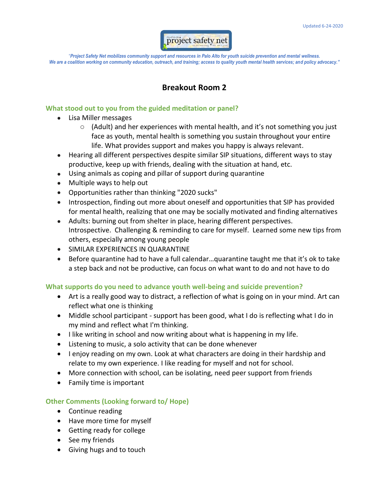

# **Breakout Room 2**

### **What stood out to you from the guided meditation or panel?**

- Lisa Miller messages
	- $\circ$  (Adult) and her experiences with mental health, and it's not something you just face as youth, mental health is something you sustain throughout your entire life. What provides support and makes you happy is always relevant.
- Hearing all different perspectives despite similar SIP situations, different ways to stay productive, keep up with friends, dealing with the situation at hand, etc.
- Using animals as coping and pillar of support during quarantine
- Multiple ways to help out
- Opportunities rather than thinking "2020 sucks"
- Introspection, finding out more about oneself and opportunities that SIP has provided for mental health, realizing that one may be socially motivated and finding alternatives
- Adults: burning out from shelter in place, hearing different perspectives. Introspective. Challenging & reminding to care for myself. Learned some new tips from others, especially among young people
- SIMILAR EXPERIENCES IN QUARANTINE
- Before quarantine had to have a full calendar…quarantine taught me that it's ok to take a step back and not be productive, can focus on what want to do and not have to do

## **What supports do you need to advance youth well-being and suicide prevention?**

- Art is a really good way to distract, a reflection of what is going on in your mind. Art can reflect what one is thinking
- Middle school participant support has been good, what I do is reflecting what I do in my mind and reflect what I'm thinking.
- I like writing in school and now writing about what is happening in my life.
- Listening to music, a solo activity that can be done whenever
- I enjoy reading on my own. Look at what characters are doing in their hardship and relate to my own experience. I like reading for myself and not for school.
- More connection with school, can be isolating, need peer support from friends
- Family time is important

## **Other Comments (Looking forward to/ Hope)**

- Continue reading
- Have more time for myself
- Getting ready for college
- See my friends
- Giving hugs and to touch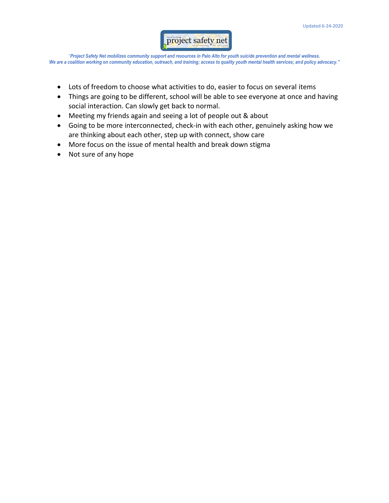

- Lots of freedom to choose what activities to do, easier to focus on several items
- Things are going to be different, school will be able to see everyone at once and having social interaction. Can slowly get back to normal.
- Meeting my friends again and seeing a lot of people out & about
- Going to be more interconnected, check-in with each other, genuinely asking how we are thinking about each other, step up with connect, show care
- More focus on the issue of mental health and break down stigma
- Not sure of any hope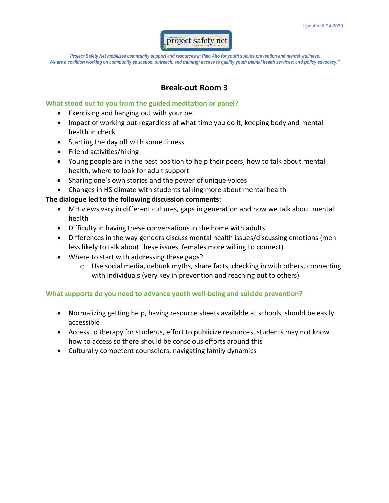

## **Break-out Room 3**

#### **What stood out to you from the guided meditation or panel?**

- Exercising and hanging out with your pet
- Impact of working out regardless of what time you do it, keeping body and mental health in check
- Starting the day off with some fitness
- Friend activities/hiking
- Young people are in the best position to help their peers, how to talk about mental health, where to look for adult support
- Sharing one's own stories and the power of unique voices
- Changes in HS climate with students talking more about mental health

## **The dialogue led to the following discussion comments:**

- MH views vary in different cultures, gaps in generation and how we talk about mental health
- Difficulty in having these conversations in the home with adults
- Differences in the way genders discuss mental health issues/discussing emotions (men less likely to talk about these issues, females more willing to connect)
- Where to start with addressing these gaps?
	- o Use social media, debunk myths, share facts, checking in with others, connecting with individuals (very key in prevention and reaching out to others)

## **What supports do you need to advance youth well-being and suicide prevention?**

- Normalizing getting help, having resource sheets available at schools, should be easily accessible
- Access to therapy for students, effort to publicize resources, students may not know how to access so there should be conscious efforts around this
- Culturally competent counselors, navigating family dynamics